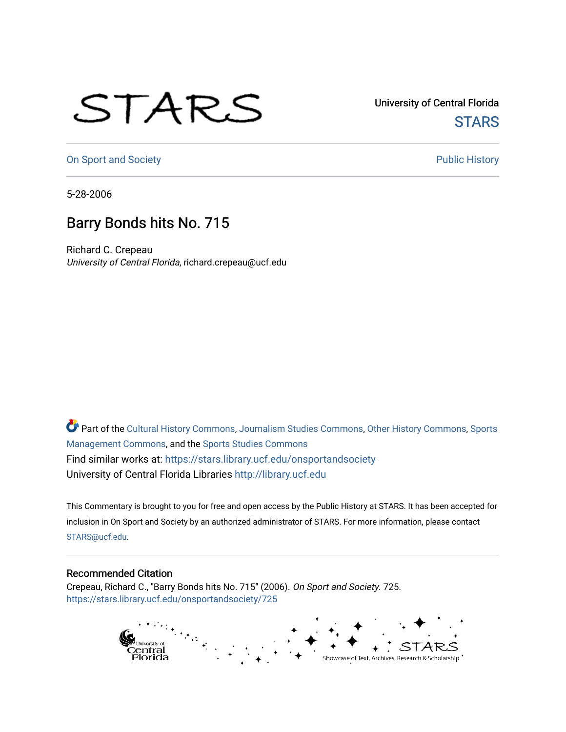## STARS

University of Central Florida **STARS** 

[On Sport and Society](https://stars.library.ucf.edu/onsportandsociety) **Public History** Public History

5-28-2006

## Barry Bonds hits No. 715

Richard C. Crepeau University of Central Florida, richard.crepeau@ucf.edu

Part of the [Cultural History Commons](http://network.bepress.com/hgg/discipline/496?utm_source=stars.library.ucf.edu%2Fonsportandsociety%2F725&utm_medium=PDF&utm_campaign=PDFCoverPages), [Journalism Studies Commons,](http://network.bepress.com/hgg/discipline/333?utm_source=stars.library.ucf.edu%2Fonsportandsociety%2F725&utm_medium=PDF&utm_campaign=PDFCoverPages) [Other History Commons,](http://network.bepress.com/hgg/discipline/508?utm_source=stars.library.ucf.edu%2Fonsportandsociety%2F725&utm_medium=PDF&utm_campaign=PDFCoverPages) [Sports](http://network.bepress.com/hgg/discipline/1193?utm_source=stars.library.ucf.edu%2Fonsportandsociety%2F725&utm_medium=PDF&utm_campaign=PDFCoverPages) [Management Commons](http://network.bepress.com/hgg/discipline/1193?utm_source=stars.library.ucf.edu%2Fonsportandsociety%2F725&utm_medium=PDF&utm_campaign=PDFCoverPages), and the [Sports Studies Commons](http://network.bepress.com/hgg/discipline/1198?utm_source=stars.library.ucf.edu%2Fonsportandsociety%2F725&utm_medium=PDF&utm_campaign=PDFCoverPages) Find similar works at: <https://stars.library.ucf.edu/onsportandsociety> University of Central Florida Libraries [http://library.ucf.edu](http://library.ucf.edu/) 

This Commentary is brought to you for free and open access by the Public History at STARS. It has been accepted for inclusion in On Sport and Society by an authorized administrator of STARS. For more information, please contact [STARS@ucf.edu](mailto:STARS@ucf.edu).

## Recommended Citation

Crepeau, Richard C., "Barry Bonds hits No. 715" (2006). On Sport and Society. 725. [https://stars.library.ucf.edu/onsportandsociety/725](https://stars.library.ucf.edu/onsportandsociety/725?utm_source=stars.library.ucf.edu%2Fonsportandsociety%2F725&utm_medium=PDF&utm_campaign=PDFCoverPages)

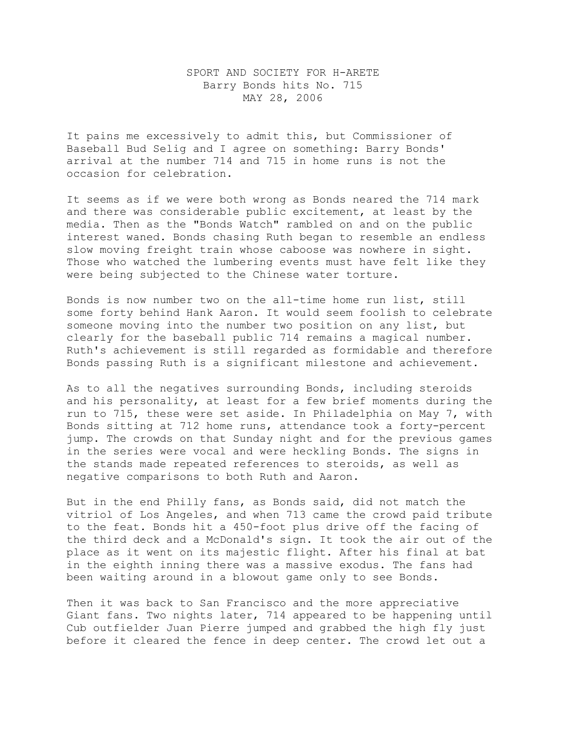## SPORT AND SOCIETY FOR H-ARETE Barry Bonds hits No. 715 MAY 28, 2006

It pains me excessively to admit this, but Commissioner of Baseball Bud Selig and I agree on something: Barry Bonds' arrival at the number 714 and 715 in home runs is not the occasion for celebration.

It seems as if we were both wrong as Bonds neared the 714 mark and there was considerable public excitement, at least by the media. Then as the "Bonds Watch" rambled on and on the public interest waned. Bonds chasing Ruth began to resemble an endless slow moving freight train whose caboose was nowhere in sight. Those who watched the lumbering events must have felt like they were being subjected to the Chinese water torture.

Bonds is now number two on the all-time home run list, still some forty behind Hank Aaron. It would seem foolish to celebrate someone moving into the number two position on any list, but clearly for the baseball public 714 remains a magical number. Ruth's achievement is still regarded as formidable and therefore Bonds passing Ruth is a significant milestone and achievement.

As to all the negatives surrounding Bonds, including steroids and his personality, at least for a few brief moments during the run to 715, these were set aside. In Philadelphia on May 7, with Bonds sitting at 712 home runs, attendance took a forty-percent jump. The crowds on that Sunday night and for the previous games in the series were vocal and were heckling Bonds. The signs in the stands made repeated references to steroids, as well as negative comparisons to both Ruth and Aaron.

But in the end Philly fans, as Bonds said, did not match the vitriol of Los Angeles, and when 713 came the crowd paid tribute to the feat. Bonds hit a 450-foot plus drive off the facing of the third deck and a McDonald's sign. It took the air out of the place as it went on its majestic flight. After his final at bat in the eighth inning there was a massive exodus. The fans had been waiting around in a blowout game only to see Bonds.

Then it was back to San Francisco and the more appreciative Giant fans. Two nights later, 714 appeared to be happening until Cub outfielder Juan Pierre jumped and grabbed the high fly just before it cleared the fence in deep center. The crowd let out a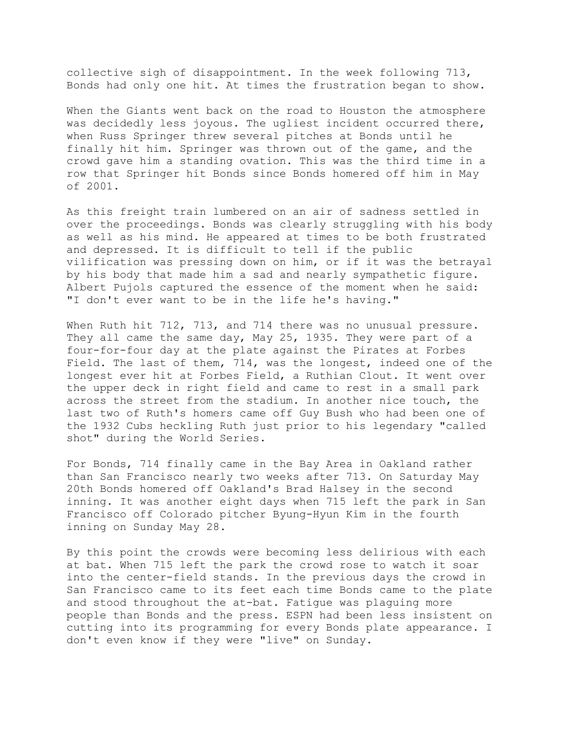collective sigh of disappointment. In the week following 713, Bonds had only one hit. At times the frustration began to show.

When the Giants went back on the road to Houston the atmosphere was decidedly less joyous. The ugliest incident occurred there, when Russ Springer threw several pitches at Bonds until he finally hit him. Springer was thrown out of the game, and the crowd gave him a standing ovation. This was the third time in a row that Springer hit Bonds since Bonds homered off him in May of 2001.

As this freight train lumbered on an air of sadness settled in over the proceedings. Bonds was clearly struggling with his body as well as his mind. He appeared at times to be both frustrated and depressed. It is difficult to tell if the public vilification was pressing down on him, or if it was the betrayal by his body that made him a sad and nearly sympathetic figure. Albert Pujols captured the essence of the moment when he said: "I don't ever want to be in the life he's having."

When Ruth hit 712, 713, and 714 there was no unusual pressure. They all came the same day, May 25, 1935. They were part of a four-for-four day at the plate against the Pirates at Forbes Field. The last of them, 714, was the longest, indeed one of the longest ever hit at Forbes Field, a Ruthian Clout. It went over the upper deck in right field and came to rest in a small park across the street from the stadium. In another nice touch, the last two of Ruth's homers came off Guy Bush who had been one of the 1932 Cubs heckling Ruth just prior to his legendary "called shot" during the World Series.

For Bonds, 714 finally came in the Bay Area in Oakland rather than San Francisco nearly two weeks after 713. On Saturday May 20th Bonds homered off Oakland's Brad Halsey in the second inning. It was another eight days when 715 left the park in San Francisco off Colorado pitcher Byung-Hyun Kim in the fourth inning on Sunday May 28.

By this point the crowds were becoming less delirious with each at bat. When 715 left the park the crowd rose to watch it soar into the center-field stands. In the previous days the crowd in San Francisco came to its feet each time Bonds came to the plate and stood throughout the at-bat. Fatigue was plaguing more people than Bonds and the press. ESPN had been less insistent on cutting into its programming for every Bonds plate appearance. I don't even know if they were "live" on Sunday.